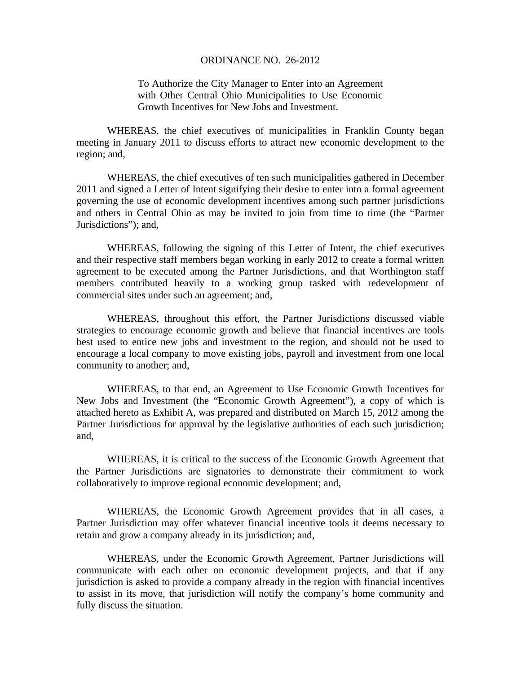#### ORDINANCE NO. 26-2012

To Authorize the City Manager to Enter into an Agreement with Other Central Ohio Municipalities to Use Economic Growth Incentives for New Jobs and Investment.

WHEREAS, the chief executives of municipalities in Franklin County began meeting in January 2011 to discuss efforts to attract new economic development to the region; and,

WHEREAS, the chief executives of ten such municipalities gathered in December 2011 and signed a Letter of Intent signifying their desire to enter into a formal agreement governing the use of economic development incentives among such partner jurisdictions and others in Central Ohio as may be invited to join from time to time (the "Partner Jurisdictions"); and,

WHEREAS, following the signing of this Letter of Intent, the chief executives and their respective staff members began working in early 2012 to create a formal written agreement to be executed among the Partner Jurisdictions, and that Worthington staff members contributed heavily to a working group tasked with redevelopment of commercial sites under such an agreement; and,

WHEREAS, throughout this effort, the Partner Jurisdictions discussed viable strategies to encourage economic growth and believe that financial incentives are tools best used to entice new jobs and investment to the region, and should not be used to encourage a local company to move existing jobs, payroll and investment from one local community to another; and,

WHEREAS, to that end, an Agreement to Use Economic Growth Incentives for New Jobs and Investment (the "Economic Growth Agreement"), a copy of which is attached hereto as Exhibit A, was prepared and distributed on March 15, 2012 among the Partner Jurisdictions for approval by the legislative authorities of each such jurisdiction; and,

WHEREAS, it is critical to the success of the Economic Growth Agreement that the Partner Jurisdictions are signatories to demonstrate their commitment to work collaboratively to improve regional economic development; and,

WHEREAS, the Economic Growth Agreement provides that in all cases, a Partner Jurisdiction may offer whatever financial incentive tools it deems necessary to retain and grow a company already in its jurisdiction; and,

WHEREAS, under the Economic Growth Agreement, Partner Jurisdictions will communicate with each other on economic development projects, and that if any jurisdiction is asked to provide a company already in the region with financial incentives to assist in its move, that jurisdiction will notify the company's home community and fully discuss the situation.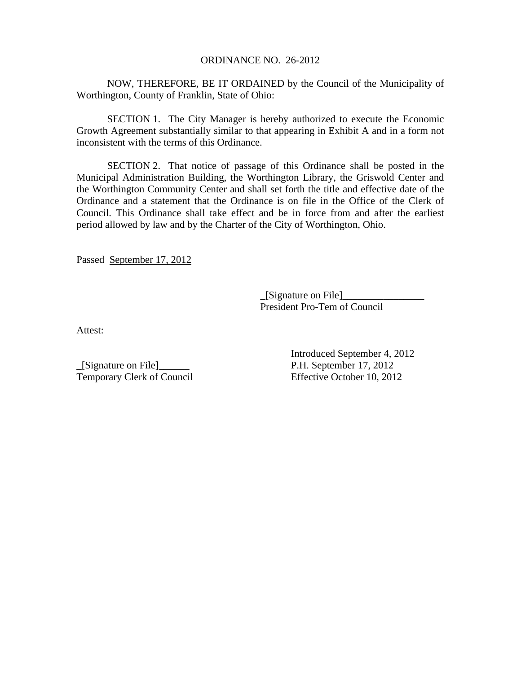#### ORDINANCE NO. 26-2012

NOW, THEREFORE, BE IT ORDAINED by the Council of the Municipality of Worthington, County of Franklin, State of Ohio:

SECTION 1. The City Manager is hereby authorized to execute the Economic Growth Agreement substantially similar to that appearing in Exhibit A and in a form not inconsistent with the terms of this Ordinance.

SECTION 2. That notice of passage of this Ordinance shall be posted in the Municipal Administration Building, the Worthington Library, the Griswold Center and the Worthington Community Center and shall set forth the title and effective date of the Ordinance and a statement that the Ordinance is on file in the Office of the Clerk of Council. This Ordinance shall take effect and be in force from and after the earliest period allowed by law and by the Charter of the City of Worthington, Ohio.

Passed September 17, 2012

 \_[Signature on File]\_\_\_\_\_\_\_\_\_\_\_\_\_\_\_\_ President Pro-Tem of Council

Attest:

\_[Signature on File]\_\_\_\_\_\_ P.H. September 17, 2012 Temporary Clerk of Council Effective October 10, 2012

Introduced September 4, 2012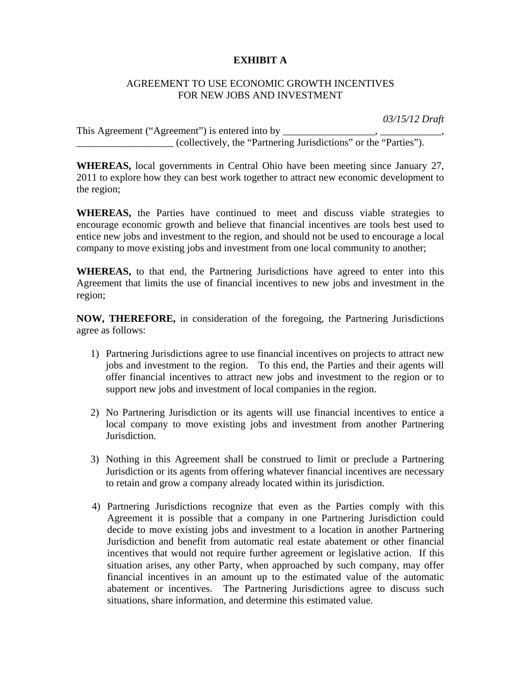## **EXHIBIT A**

### AGREEMENT TO USE ECONOMIC GROWTH INCENTIVES FOR NEW JOBS AND INVESTMENT

 *03/15/12 Draft* 

This Agreement ("Agreement") is entered into by \_\_\_\_\_\_\_\_\_\_\_\_\_\_\_\_\_\_\_\_\_\_\_\_\_\_\_\_\_\_\_\_\_ \_\_\_\_\_\_\_\_\_\_\_\_\_\_\_\_\_\_\_ (collectively, the "Partnering Jurisdictions" or the "Parties").

**WHEREAS,** local governments in Central Ohio have been meeting since January 27, 2011 to explore how they can best work together to attract new economic development to the region;

**WHEREAS,** the Parties have continued to meet and discuss viable strategies to encourage economic growth and believe that financial incentives are tools best used to entice new jobs and investment to the region, and should not be used to encourage a local company to move existing jobs and investment from one local community to another;

**WHEREAS,** to that end, the Partnering Jurisdictions have agreed to enter into this Agreement that limits the use of financial incentives to new jobs and investment in the region;

**NOW, THEREFORE,** in consideration of the foregoing, the Partnering Jurisdictions agree as follows:

- 1) Partnering Jurisdictions agree to use financial incentives on projects to attract new jobs and investment to the region. To this end, the Parties and their agents will offer financial incentives to attract new jobs and investment to the region or to support new jobs and investment of local companies in the region.
- 2) No Partnering Jurisdiction or its agents will use financial incentives to entice a local company to move existing jobs and investment from another Partnering Jurisdiction.
- 3) Nothing in this Agreement shall be construed to limit or preclude a Partnering Jurisdiction or its agents from offering whatever financial incentives are necessary to retain and grow a company already located within its jurisdiction.
- 4) Partnering Jurisdictions recognize that even as the Parties comply with this Agreement it is possible that a company in one Partnering Jurisdiction could decide to move existing jobs and investment to a location in another Partnering Jurisdiction and benefit from automatic real estate abatement or other financial incentives that would not require further agreement or legislative action. If this situation arises, any other Party, when approached by such company, may offer financial incentives in an amount up to the estimated value of the automatic abatement or incentives. The Partnering Jurisdictions agree to discuss such situations, share information, and determine this estimated value.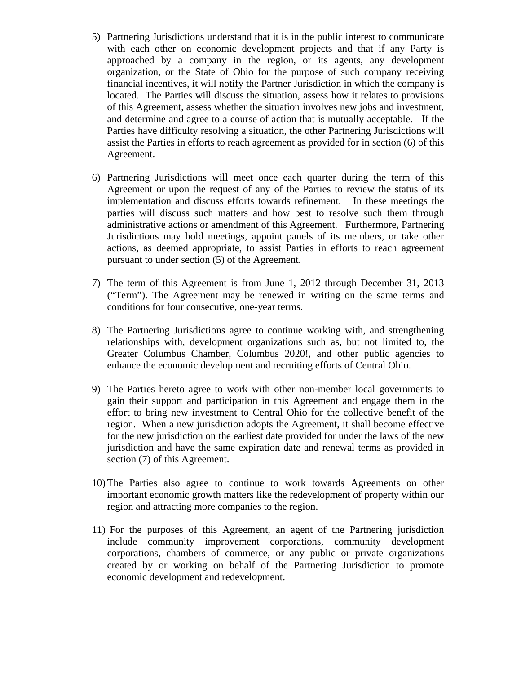- 5) Partnering Jurisdictions understand that it is in the public interest to communicate with each other on economic development projects and that if any Party is approached by a company in the region, or its agents, any development organization, or the State of Ohio for the purpose of such company receiving financial incentives, it will notify the Partner Jurisdiction in which the company is located. The Parties will discuss the situation, assess how it relates to provisions of this Agreement, assess whether the situation involves new jobs and investment, and determine and agree to a course of action that is mutually acceptable. If the Parties have difficulty resolving a situation, the other Partnering Jurisdictions will assist the Parties in efforts to reach agreement as provided for in section (6) of this Agreement.
- 6) Partnering Jurisdictions will meet once each quarter during the term of this Agreement or upon the request of any of the Parties to review the status of its implementation and discuss efforts towards refinement. In these meetings the parties will discuss such matters and how best to resolve such them through administrative actions or amendment of this Agreement. Furthermore, Partnering Jurisdictions may hold meetings, appoint panels of its members, or take other actions, as deemed appropriate, to assist Parties in efforts to reach agreement pursuant to under section (5) of the Agreement.
- 7) The term of this Agreement is from June 1, 2012 through December 31, 2013 ("Term"). The Agreement may be renewed in writing on the same terms and conditions for four consecutive, one-year terms.
- 8) The Partnering Jurisdictions agree to continue working with, and strengthening relationships with, development organizations such as, but not limited to, the Greater Columbus Chamber, Columbus 2020!, and other public agencies to enhance the economic development and recruiting efforts of Central Ohio.
- 9) The Parties hereto agree to work with other non-member local governments to gain their support and participation in this Agreement and engage them in the effort to bring new investment to Central Ohio for the collective benefit of the region. When a new jurisdiction adopts the Agreement, it shall become effective for the new jurisdiction on the earliest date provided for under the laws of the new jurisdiction and have the same expiration date and renewal terms as provided in section (7) of this Agreement.
- 10) The Parties also agree to continue to work towards Agreements on other important economic growth matters like the redevelopment of property within our region and attracting more companies to the region.
- 11) For the purposes of this Agreement, an agent of the Partnering jurisdiction include community improvement corporations, community development corporations, chambers of commerce, or any public or private organizations created by or working on behalf of the Partnering Jurisdiction to promote economic development and redevelopment.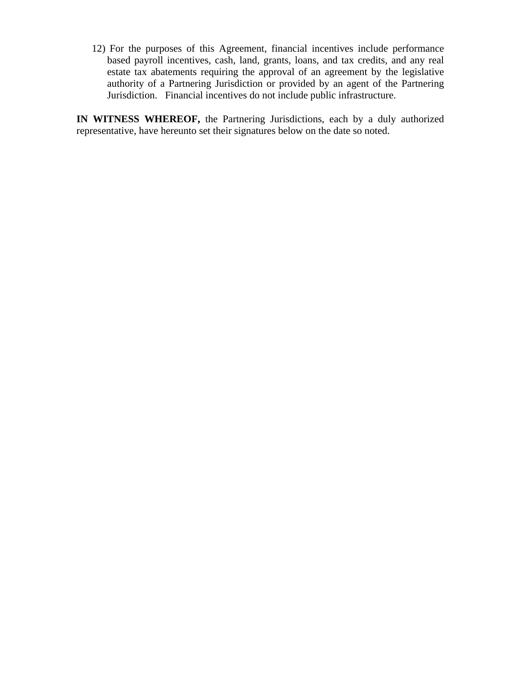12) For the purposes of this Agreement, financial incentives include performance based payroll incentives, cash, land, grants, loans, and tax credits, and any real estate tax abatements requiring the approval of an agreement by the legislative authority of a Partnering Jurisdiction or provided by an agent of the Partnering Jurisdiction. Financial incentives do not include public infrastructure.

**IN WITNESS WHEREOF,** the Partnering Jurisdictions, each by a duly authorized representative, have hereunto set their signatures below on the date so noted.